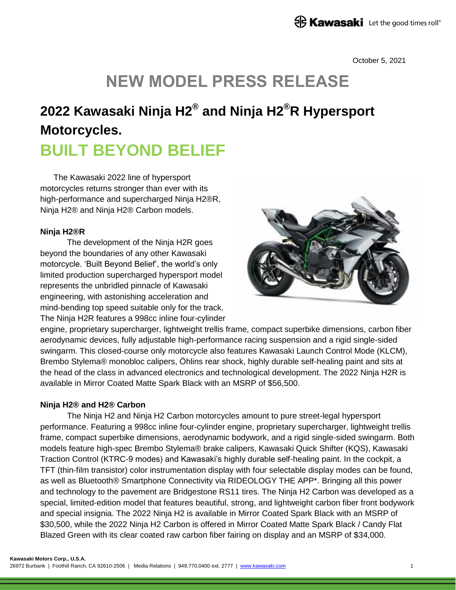October 5, 2021

# **NEW MODEL PRESS RELEASE**

## **2022 Kawasaki Ninja H2® and Ninja H2®R Hypersport Motorcycles. BUILT BEYOND BELIEF**

The Kawasaki 2022 line of hypersport motorcycles returns stronger than ever with its high-performance and supercharged Ninja H2®R, Ninja H2® and Ninja H2® Carbon models.

#### **Ninja H2®R**

The development of the Ninja H2R goes beyond the boundaries of any other Kawasaki motorcycle. 'Built Beyond Belief', the world's only limited production supercharged hypersport model represents the unbridled pinnacle of Kawasaki engineering, with astonishing acceleration and mind-bending top speed suitable only for the track. The Ninja H2R features a 998cc inline four-cylinder



engine, proprietary supercharger, lightweight trellis frame, compact superbike dimensions, carbon fiber aerodynamic devices, fully adjustable high-performance racing suspension and a rigid single-sided swingarm. This closed-course only motorcycle also features Kawasaki Launch Control Mode (KLCM), Brembo Stylema® monobloc calipers, Öhlins rear shock, highly durable self-healing paint and sits at the head of the class in advanced electronics and technological development. The 2022 Ninja H2R is available in Mirror Coated Matte Spark Black with an MSRP of \$56,500.

#### **Ninja H2® and H2® Carbon**

The Ninja H2 and Ninja H2 Carbon motorcycles amount to pure street-legal hypersport performance. Featuring a 998cc inline four-cylinder engine, proprietary supercharger, lightweight trellis frame, compact superbike dimensions, aerodynamic bodywork, and a rigid single-sided swingarm. Both models feature high-spec Brembo Stylema® brake calipers, Kawasaki Quick Shifter (KQS), Kawasaki Traction Control (KTRC-9 modes) and Kawasaki's highly durable self-healing paint. In the cockpit, a TFT (thin-film transistor) color instrumentation display with four selectable display modes can be found, as well as Bluetooth® Smartphone Connectivity via RIDEOLOGY THE APP\*. Bringing all this power and technology to the pavement are Bridgestone RS11 tires. The Ninja H2 Carbon was developed as a special, limited-edition model that features beautiful, strong, and lightweight carbon fiber front bodywork and special insignia. The 2022 Ninja H2 is available in Mirror Coated Spark Black with an MSRP of \$30,500, while the 2022 Ninja H2 Carbon is offered in Mirror Coated Matte Spark Black / Candy Flat Blazed Green with its clear coated raw carbon fiber fairing on display and an MSRP of \$34,000.